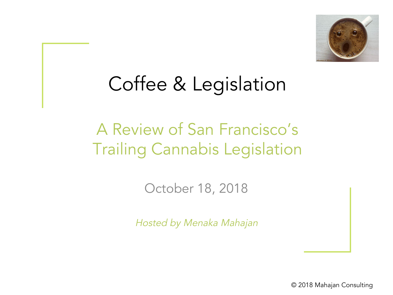

### Coffee & Legislation

### A Review of San Francisco's Trailing Cannabis Legislation

October 18, 2018

Hosted by Menaka Mahajan

© 2018 Mahajan Consulting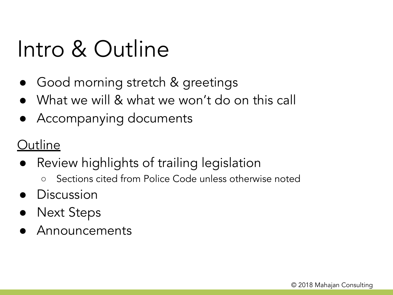## Intro & Outline

- Good morning stretch & greetings
- What we will & what we won't do on this call
- Accompanying documents

### **Outline**

- Review highlights of trailing legislation
	- Sections cited from Police Code unless otherwise noted
- Discussion
- **Next Steps**
- Announcements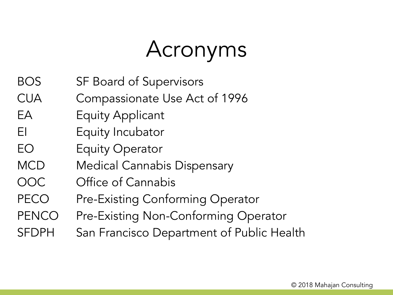# Acronyms

- BOS SF Board of Supervisors
- CUA Compassionate Use Act of 1996
- EA Equity Applicant
- EI Equity Incubator
- EO Equity Operator
- MCD Medical Cannabis Dispensary
- OOC Office of Cannabis
- PECO Pre-Existing Conforming Operator
- PENCO Pre-Existing Non-Conforming Operator
- SFDPH San Francisco Department of Public Health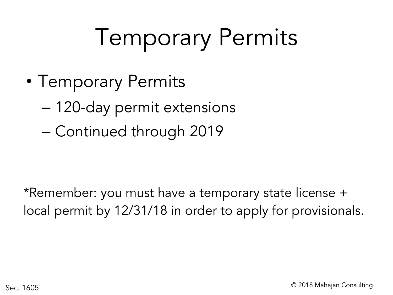# Temporary Permits

- Temporary Permits
	- 120-day permit extensions
	- Continued through 2019

\*Remember: you must have a temporary state license + local permit by 12/31/18 in order to apply for provisionals.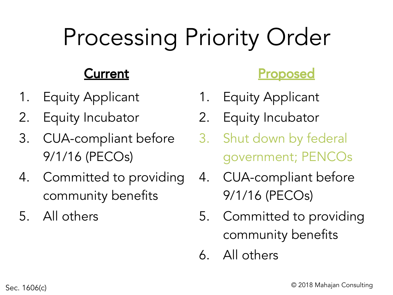# Processing Priority Order

### Current

- 1. Equity Applicant
- 2. Equity Incubator
- 3. CUA-compliant before 9/1/16 (PECOs)
- 4. Committed to providing community benefits
- 5. All others

#### **Proposed**

- 1. Equity Applicant
- 2. Equity Incubator
- 3. Shut down by federal government; PENCOs
- 4. CUA-compliant before 9/1/16 (PECOs)
- 5. Committed to providing community benefits
- 6. All others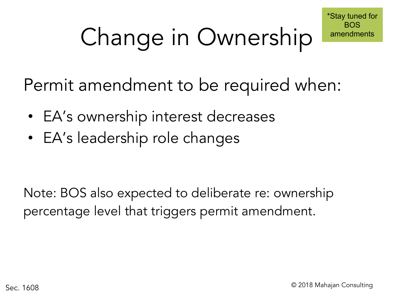# Change in Ownership

Permit amendment to be required when:

- EA's ownership interest decreases
- EA's leadership role changes

Note: BOS also expected to deliberate re: ownership percentage level that triggers permit amendment.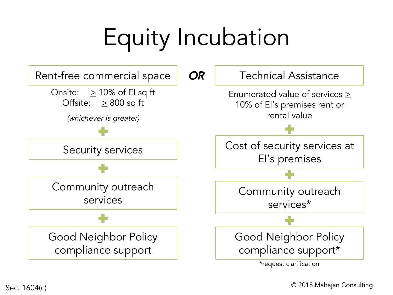# Equity Incubation

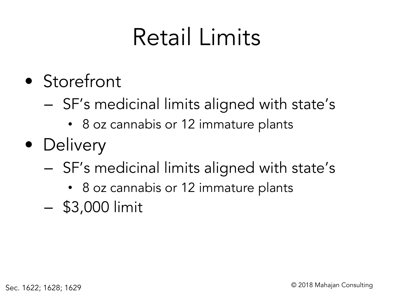# Retail Limits

- Storefront
	- SF's medicinal limits aligned with state's
		- 8 oz cannabis or 12 immature plants
- Delivery
	- SF's medicinal limits aligned with state's
		- 8 oz cannabis or 12 immature plants
	- \$3,000 limit

Sec. 1622; 1628; 1629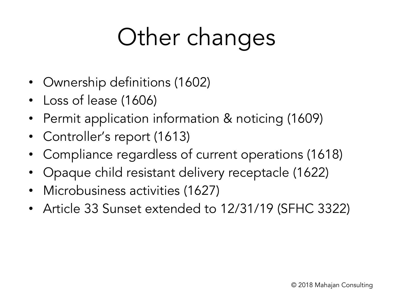# Other changes

- Ownership definitions (1602)
- Loss of lease (1606)
- Permit application information & noticing (1609)
- Controller's report (1613)
- Compliance regardless of current operations (1618)
- Opaque child resistant delivery receptacle (1622)
- Microbusiness activities (1627)
- Article 33 Sunset extended to 12/31/19 (SFHC 3322)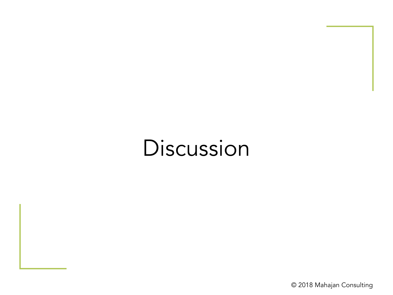### Discussion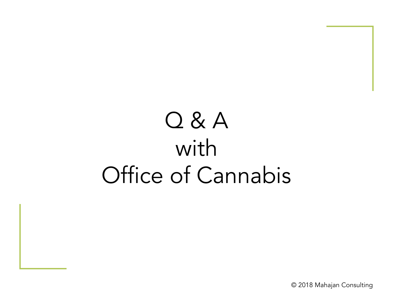# Q & A with Office of Cannabis

© 2018 Mahajan Consulting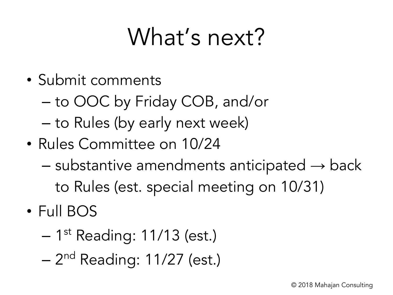# What's next?

- Submit comments
	- to OOC by Friday COB, and/or
	- to Rules (by early next week)
- Rules Committee on 10/24
	- $-$  substantive amendments anticipated  $\rightarrow$  back to Rules (est. special meeting on 10/31)
- Full BOS
	- 1<sup>st</sup> Reading: 11/13 (est.)
	- 2<sup>nd</sup> Reading: 11/27 (est.)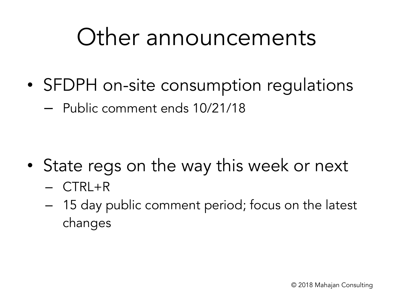## Other announcements

- SFDPH on-site consumption regulations
	- Public comment ends 10/21/18

- State regs on the way this week or next
	- CTRL+R
	- 15 day public comment period; focus on the latest changes